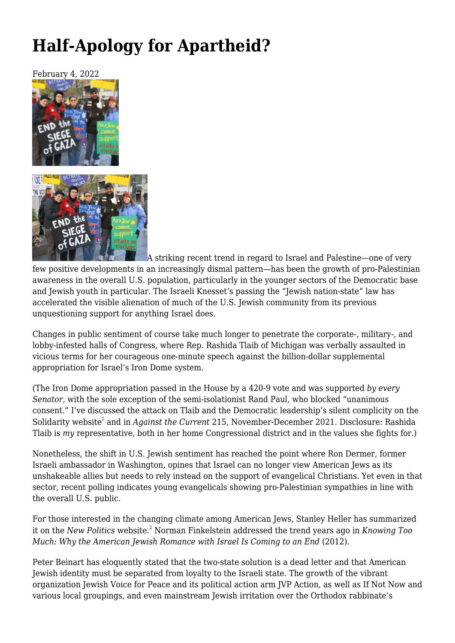## **[Half-Apology for Apartheid?](https://newpol.org/review/half-apology-for-apartheid/)**



A striking recent trend in regard to Israel and Palestine—one of very few positive developments in an increasingly dismal pattern—has been the growth of pro-Palestinian awareness in the overall U.S. population, particularly in the younger sectors of the Democratic base and Jewish youth in particular. The Israeli Knesset's passing the "Jewish nation-state" law has accelerated the visible alienation of much of the U.S. Jewish community from its previous unquestioning support for anything Israel does.

Changes in public sentiment of course take much longer to penetrate the corporate-, military-, and lobby-infested halls of Congress, where Rep. Rashida Tlaib of Michigan was verbally assaulted in vicious terms for her courageous one-minute speech against the billion-dollar supplemental appropriation for Israel's Iron Dome system.

(The Iron Dome appropriation passed in the House by a 420-9 vote and was supported *by every Senator,* with the sole exception of the semi-isolationist Rand Paul, who blocked "unanimous consent." I've discussed the attack on Tlaib and the Democratic leadership's silent complicity on the Solidarity website<sup>1</sup> and in *Against the Current* 215, November-December 2021. Disclosure: Rashida Tlaib is *my* representative, both in her home Congressional district and in the values she fights for.)

Nonetheless, the shift in U.S. Jewish sentiment has reached the point where Ron Dermer, former Israeli ambassador in Washington, opines that Israel can no longer view American Jews as its unshakeable allies but needs to rely instead on the support of evangelical Christians. Yet even in that sector, recent polling indicates young evangelicals showing pro-Palestinian sympathies in line with the overall U.S. public.

For those interested in the changing climate among American Jews, Stanley Heller has summarized it on the *New Politics* website.<sup>2</sup> Norman Finkelstein addressed the trend years ago in *Knowing Too Much: Why the American Jewish Romance with Israel Is Coming to an End* (2012).

Peter Beinart has eloquently stated that the two-state solution is a dead letter and that American Jewish identity must be separated from loyalty to the Israeli state. The growth of the vibrant organization Jewish Voice for Peace and its political action arm JVP Action, as well as If Not Now and various local groupings, and even mainstream Jewish irritation over the Orthodox rabbinate's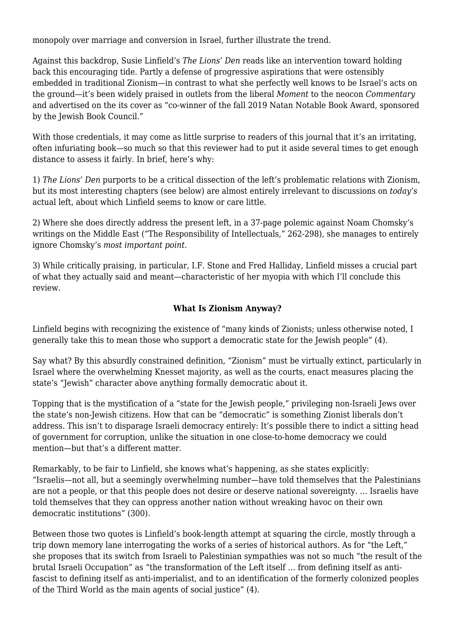monopoly over marriage and conversion in Israel, further illustrate the trend.

Against this backdrop, Susie Linfield's *The Lions' Den* reads like an intervention toward holding back this encouraging tide. Partly a defense of progressive aspirations that were ostensibly embedded in traditional Zionism—in contrast to what she perfectly well knows to be Israel's acts on the ground—it's been widely praised in outlets from the liberal *Moment* to the neocon *Commentary* and advertised on the its cover as "co-winner of the fall 2019 Natan Notable Book Award, sponsored by the Jewish Book Council."

With those credentials, it may come as little surprise to readers of this journal that it's an irritating, often infuriating book—so much so that this reviewer had to put it aside several times to get enough distance to assess it fairly. In brief, here's why:

1) *The Lions' Den* purports to be a critical dissection of the left's problematic relations with Zionism, but its most interesting chapters (see below) are almost entirely irrelevant to discussions on *today's* actual left, about which Linfield seems to know or care little.

2) Where she does directly address the present left, in a 37-page polemic against Noam Chomsky's writings on the Middle East ("The Responsibility of Intellectuals," 262-298), she manages to entirely ignore Chomsky's *most important point*.

3) While critically praising, in particular, I.F. Stone and Fred Halliday, Linfield misses a crucial part of what they actually said and meant—characteristic of her myopia with which I'll conclude this review.

## **What Is Zionism Anyway?**

Linfield begins with recognizing the existence of "many kinds of Zionists; unless otherwise noted, I generally take this to mean those who support a democratic state for the Jewish people" (4).

Say what? By this absurdly constrained definition, "Zionism" must be virtually extinct, particularly in Israel where the overwhelming Knesset majority, as well as the courts, enact measures placing the state's "Jewish" character above anything formally democratic about it.

Topping that is the mystification of a "state for the Jewish people," privileging non-Israeli Jews over the state's non-Jewish citizens. How that can be "democratic" is something Zionist liberals don't address. This isn't to disparage Israeli democracy entirely: It's possible there to indict a sitting head of government for corruption, unlike the situation in one close-to-home democracy we could mention—but that's a different matter.

Remarkably, to be fair to Linfield, she knows what's happening, as she states explicitly: "Israelis—not all, but a seemingly overwhelming number—have told themselves that the Palestinians are not a people, or that this people does not desire or deserve national sovereignty. … Israelis have told themselves that they can oppress another nation without wreaking havoc on their own democratic institutions" (300).

Between those two quotes is Linfield's book-length attempt at squaring the circle, mostly through a trip down memory lane interrogating the works of a series of historical authors. As for "the Left," she proposes that its switch from Israeli to Palestinian sympathies was not so much "the result of the brutal Israeli Occupation" as "the transformation of the Left itself … from defining itself as antifascist to defining itself as anti-imperialist, and to an identification of the formerly colonized peoples of the Third World as the main agents of social justice" (4).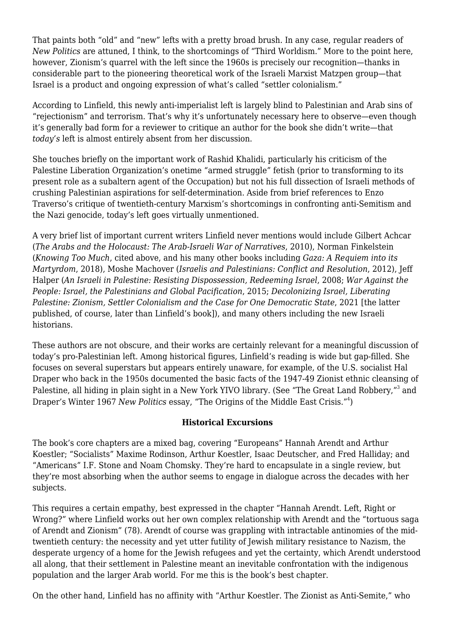That paints both "old" and "new" lefts with a pretty broad brush. In any case, regular readers of *New Politics* are attuned, I think, to the shortcomings of "Third Worldism." More to the point here, however, Zionism's quarrel with the left since the 1960s is precisely our recognition—thanks in considerable part to the pioneering theoretical work of the Israeli Marxist Matzpen group—that Israel is a product and ongoing expression of what's called "settler colonialism."

According to Linfield, this newly anti-imperialist left is largely blind to Palestinian and Arab sins of "rejectionism" and terrorism. That's why it's unfortunately necessary here to observe—even though it's generally bad form for a reviewer to critique an author for the book she didn't write—that *today's* left is almost entirely absent from her discussion.

She touches briefly on the important work of Rashid Khalidi, particularly his criticism of the Palestine Liberation Organization's onetime "armed struggle" fetish (prior to transforming to its present role as a subaltern agent of the Occupation) but not his full dissection of Israeli methods of crushing Palestinian aspirations for self-determination. Aside from brief references to Enzo Traverso's critique of twentieth-century Marxism's shortcomings in confronting anti-Semitism and the Nazi genocide, today's left goes virtually unmentioned.

A very brief list of important current writers Linfield never mentions would include Gilbert Achcar (*The Arabs and the Holocaust: The Arab-Israeli War of Narratives*, 2010), Norman Finkelstein (*Knowing Too Much*, cited above, and his many other books including *Gaza: A Requiem into its Martyrdom*, 2018), Moshe Machover (*Israelis and Palestinians: Conflict and Resolution*, 2012), Jeff Halper (*An Israeli in Palestine: Resisting Dispossession, Redeeming Israel*, 2008; *War Against the People: Israel, the Palestinians and Global Pacification*, 2015; *Decolonizing Israel, Liberating Palestine: Zionism, Settler Colonialism and the Case for One Democratic State*, 2021 [the latter published, of course, later than Linfield's book]), and many others including the new Israeli historians.

These authors are not obscure, and their works are certainly relevant for a meaningful discussion of today's pro-Palestinian left. Among historical figures, Linfield's reading is wide but gap-filled. She focuses on several superstars but appears entirely unaware, for example, of the U.S. socialist Hal Draper who back in the 1950s documented the basic facts of the 1947-49 Zionist ethnic cleansing of Palestine, all hiding in plain sight in a New York YIVO library. (See "The Great Land Robbery,"<sup>3</sup> and Draper's Winter 1967 *New Politics* essay, "The Origins of the Middle East Crisis."<sup>4</sup>)

## **Historical Excursions**

The book's core chapters are a mixed bag, covering "Europeans" Hannah Arendt and Arthur Koestler; "Socialists" Maxime Rodinson, Arthur Koestler, Isaac Deutscher, and Fred Halliday; and "Americans" I.F. Stone and Noam Chomsky. They're hard to encapsulate in a single review, but they're most absorbing when the author seems to engage in dialogue across the decades with her subjects.

This requires a certain empathy, best expressed in the chapter "Hannah Arendt. Left, Right or Wrong?" where Linfield works out her own complex relationship with Arendt and the "tortuous saga of Arendt and Zionism" (78). Arendt of course was grappling with intractable antinomies of the midtwentieth century: the necessity and yet utter futility of Jewish military resistance to Nazism, the desperate urgency of a home for the Jewish refugees and yet the certainty, which Arendt understood all along, that their settlement in Palestine meant an inevitable confrontation with the indigenous population and the larger Arab world. For me this is the book's best chapter.

On the other hand, Linfield has no affinity with "Arthur Koestler. The Zionist as Anti-Semite," who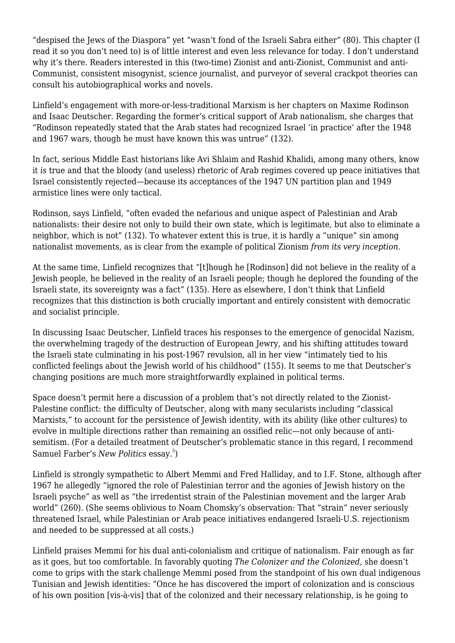"despised the Jews of the Diaspora" yet "wasn't fond of the Israeli Sabra either" (80). This chapter (I read it so you don't need to) is of little interest and even less relevance for today. I don't understand why it's there. Readers interested in this (two-time) Zionist and anti-Zionist, Communist and anti-Communist, consistent misogynist, science journalist, and purveyor of several crackpot theories can consult his autobiographical works and novels.

Linfield's engagement with more-or-less-traditional Marxism is her chapters on Maxime Rodinson and Isaac Deutscher. Regarding the former's critical support of Arab nationalism, she charges that "Rodinson repeatedly stated that the Arab states had recognized Israel 'in practice' after the 1948 and 1967 wars, though he must have known this was untrue" (132).

In fact, serious Middle East historians like Avi Shlaim and Rashid Khalidi, among many others, know it *is* true and that the bloody (and useless) rhetoric of Arab regimes covered up peace initiatives that Israel consistently rejected—because its acceptances of the 1947 UN partition plan and 1949 armistice lines were only tactical.

Rodinson, says Linfield, "often evaded the nefarious and unique aspect of Palestinian and Arab nationalists: their desire not only to build their own state, which is legitimate, but also to eliminate a neighbor, which is not" (132). To whatever extent this is true, it is hardly a "unique" sin among nationalist movements, as is clear from the example of political Zionism *from its very inception*.

At the same time, Linfield recognizes that "[t]hough he [Rodinson] did not believe in the reality of a Jewish people, he believed in the reality of an Israeli people; though he deplored the founding of the Israeli state, its sovereignty was a fact" (135). Here as elsewhere, I don't think that Linfield recognizes that this distinction is both crucially important and entirely consistent with democratic and socialist principle.

In discussing Isaac Deutscher, Linfield traces his responses to the emergence of genocidal Nazism, the overwhelming tragedy of the destruction of European Jewry, and his shifting attitudes toward the Israeli state culminating in his post-1967 revulsion, all in her view "intimately tied to his conflicted feelings about the Jewish world of his childhood" (155). It seems to me that Deutscher's changing positions are much more straightforwardly explained in political terms.

Space doesn't permit here a discussion of a problem that's not directly related to the Zionist-Palestine conflict: the difficulty of Deutscher, along with many secularists including "classical Marxists," to account for the persistence of Jewish identity, with its ability (like other cultures) to evolve in multiple directions rather than remaining an ossified relic—not only because of antisemitism. (For a detailed treatment of Deutscher's problematic stance in this regard, I recommend Samuel Farber's New Politics essay.<sup>5</sup>)

Linfield is strongly sympathetic to Albert Memmi and Fred Halliday, and to I.F. Stone, although after 1967 he allegedly "ignored the role of Palestinian terror and the agonies of Jewish history on the Israeli psyche" as well as "the irredentist strain of the Palestinian movement and the larger Arab world" (260). (She seems oblivious to Noam Chomsky's observation: That "strain" never seriously threatened Israel, while Palestinian or Arab peace initiatives endangered Israeli-U.S. rejectionism and needed to be suppressed at all costs.)

Linfield praises Memmi for his dual anti-colonialism and critique of nationalism. Fair enough as far as it goes, but too comfortable. In favorably quoting *The Colonizer and the Colonized,* she doesn't come to grips with the stark challenge Memmi posed from the standpoint of his own dual indigenous Tunisian and Jewish identities: "Once he has discovered the import of colonization and is conscious of his own position [vis-à-vis] that of the colonized and their necessary relationship, is he going to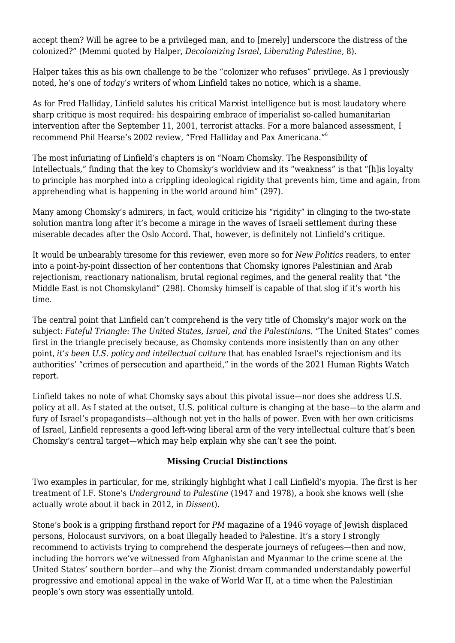accept them? Will he agree to be a privileged man, and to [merely] underscore the distress of the colonized?" (Memmi quoted by Halper, *Decolonizing Israel, Liberating Palestine*, 8).

Halper takes this as his own challenge to be the "colonizer who refuses" privilege. As I previously noted, he's one of *today's* writers of whom Linfield takes no notice, which is a shame.

As for Fred Halliday, Linfield salutes his critical Marxist intelligence but is most laudatory where sharp critique is most required: his despairing embrace of imperialist so-called humanitarian intervention after the September 11, 2001, terrorist attacks. For a more balanced assessment, I recommend Phil Hearse's 2002 review, "Fred Halliday and Pax Americana."<sup>6</sup>

The most infuriating of Linfield's chapters is on "Noam Chomsky. The Responsibility of Intellectuals," finding that the key to Chomsky's worldview and its "weakness" is that "[h]is loyalty to principle has morphed into a crippling ideological rigidity that prevents him, time and again, from apprehending what is happening in the world around him" (297).

Many among Chomsky's admirers, in fact, would criticize his "rigidity" in clinging to the two-state solution mantra long after it's become a mirage in the waves of Israeli settlement during these miserable decades after the Oslo Accord. That, however, is definitely not Linfield's critique.

It would be unbearably tiresome for this reviewer, even more so for *New Politics* readers, to enter into a point-by-point dissection of her contentions that Chomsky ignores Palestinian and Arab rejectionism, reactionary nationalism, brutal regional regimes, and the general reality that "the Middle East is not Chomskyland" (298). Chomsky himself is capable of that slog if it's worth his time.

The central point that Linfield can't comprehend is the very title of Chomsky's major work on the subject: *Fateful Triangle: The United States, Israel, and the Palestinians*. "The United States" comes first in the triangle precisely because, as Chomsky contends more insistently than on any other point, *it's been U.S. policy and intellectual culture* that has enabled Israel's rejectionism and its authorities' "crimes of persecution and apartheid," in the words of the 2021 Human Rights Watch report.

Linfield takes no note of what Chomsky says about this pivotal issue—nor does she address U.S. policy at all. As I stated at the outset, U.S. political culture is changing at the base—to the alarm and fury of Israel's propagandists—although not yet in the halls of power. Even with her own criticisms of Israel, Linfield represents a good left-wing liberal arm of the very intellectual culture that's been Chomsky's central target—which may help explain why she can't see the point.

## **Missing Crucial Distinctions**

Two examples in particular, for me, strikingly highlight what I call Linfield's myopia. The first is her treatment of I.F. Stone's *Underground to Palestine* (1947 and 1978), a book she knows well (she actually wrote about it back in 2012, in *Dissent*).

Stone's book is a gripping firsthand report for *PM* magazine of a 1946 voyage of Jewish displaced persons, Holocaust survivors, on a boat illegally headed to Palestine. It's a story I strongly recommend to activists trying to comprehend the desperate journeys of refugees—then and now, including the horrors we've witnessed from Afghanistan and Myanmar to the crime scene at the United States' southern border—and why the Zionist dream commanded understandably powerful progressive and emotional appeal in the wake of World War II, at a time when the Palestinian people's own story was essentially untold.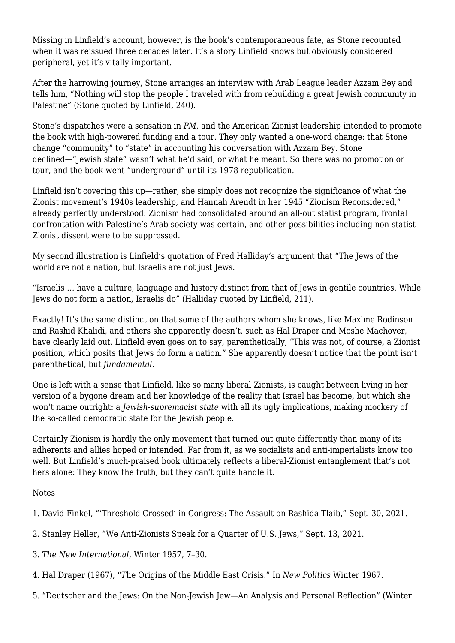Missing in Linfield's account, however, is the book's contemporaneous fate, as Stone recounted when it was reissued three decades later. It's a story Linfield knows but obviously considered peripheral, yet it's vitally important.

After the harrowing journey, Stone arranges an interview with Arab League leader Azzam Bey and tells him, "Nothing will stop the people I traveled with from rebuilding a great Jewish community in Palestine" (Stone quoted by Linfield, 240).

Stone's dispatches were a sensation in *PM*, and the American Zionist leadership intended to promote the book with high-powered funding and a tour. They only wanted a one-word change: that Stone change "community" to "state" in accounting his conversation with Azzam Bey. Stone declined—"Jewish state" wasn't what he'd said, or what he meant. So there was no promotion or tour, and the book went "underground" until its 1978 republication.

Linfield isn't covering this up—rather, she simply does not recognize the significance of what the Zionist movement's 1940s leadership, and Hannah Arendt in her 1945 "Zionism Reconsidered," already perfectly understood: Zionism had consolidated around an all-out statist program, frontal confrontation with Palestine's Arab society was certain, and other possibilities including non-statist Zionist dissent were to be suppressed.

My second illustration is Linfield's quotation of Fred Halliday's argument that "The Jews of the world are not a nation, but Israelis are not just Jews.

"Israelis … have a culture, language and history distinct from that of Jews in gentile countries. While Jews do not form a nation, Israelis do" (Halliday quoted by Linfield, 211).

Exactly! It's the same distinction that some of the authors whom she knows, like Maxime Rodinson and Rashid Khalidi, and others she apparently doesn't, such as Hal Draper and Moshe Machover, have clearly laid out. Linfield even goes on to say, parenthetically, "This was not, of course, a Zionist position, which posits that Jews do form a nation." She apparently doesn't notice that the point isn't parenthetical, but *fundamental*.

One is left with a sense that Linfield, like so many liberal Zionists, is caught between living in her version of a bygone dream and her knowledge of the reality that Israel has become, but which she won't name outright: a *Jewish-supremacist state* with all its ugly implications, making mockery of the so-called democratic state for the Jewish people.

Certainly Zionism is hardly the only movement that turned out quite differently than many of its adherents and allies hoped or intended. Far from it, as we socialists and anti-imperialists know too well. But Linfield's much-praised book ultimately reflects a liberal-Zionist entanglement that's not hers alone: They know the truth, but they can't quite handle it.

Notes

- 1. David Finkel, "['Threshold Crossed' in Congress: The Assault on Rashida Tlaib,"](http://solidarity-us.org/threshold-_crossed/) Sept. 30, 2021.
- 2. Stanley Heller, "[We Anti-Zionists Speak for a Quarter of U.S. Jews,"](http://newpol.org/we-anti-zionists-speak-for-a-quarter-of-u-s-jews/) Sept. 13, 2021.
- 3. *[The New International](http://marxists.architexturez.net/archive/draper/1957/xx/tragedy.html)*[,](http://marxists.architexturez.net/archive/draper/1957/xx/tragedy.html) Winter 1957, 7–30.
- 4. Hal Draper (1967), "*T*[he Origins of the Middle East Crisis](https://www.marxists.org/archive/draper/1990/zionism/07-origins.htm)." In *New Politics* Winter 1967.
- 5. ["Deutscher and the Jews: On the Non-Jewish Jew—An Analysis and Personal Reflection](http://newpol.org/issue_post/deutscher-and-jews/)" ([Winter](https://newpol.org/issues/new-politics-vol-xiv-no-4-whole-number-56)